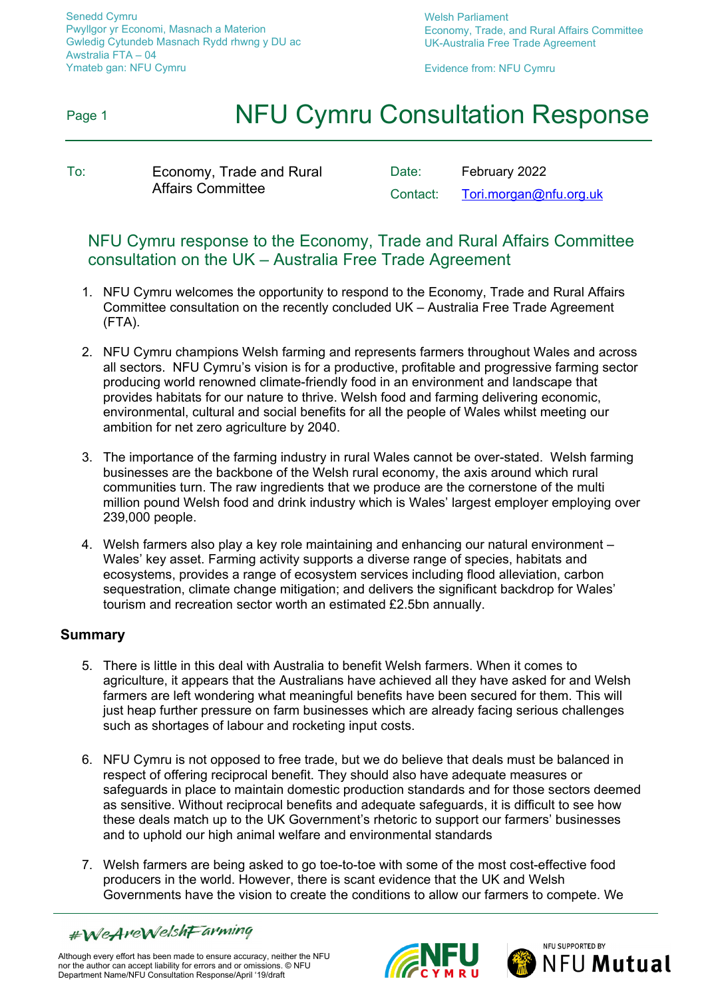Senedd Cymru Pwyllgor yr Economi, Masnach a Materion Gwledig Cytundeb Masnach Rydd rhwng y DU ac Awstralia FTA – 04 Ymateb gan: NFU Cymru

Welsh Parliament Economy, Trade, and Rural Affairs Committee UK-Australia Free Trade Agreement

Evidence from: NFU Cymru

## Page 1 **NFU Cymru Consultation Response**

To: Economy, Trade and Rural Affairs Committee

Date: February 2022 Contact: [Tori.morgan@nfu.org.uk](mailto:Tori.morgan@nfu.org.uk)

## NFU Cymru response to the Economy, Trade and Rural Affairs Committee consultation on the UK – Australia Free Trade Agreement

- 1. NFU Cymru welcomes the opportunity to respond to the Economy, Trade and Rural Affairs Committee consultation on the recently concluded UK – Australia Free Trade Agreement (FTA).
- 2. NFU Cymru champions Welsh farming and represents farmers throughout Wales and across all sectors. NFU Cymru's vision is for a productive, profitable and progressive farming sector producing world renowned climate-friendly food in an environment and landscape that provides habitats for our nature to thrive. Welsh food and farming delivering economic, environmental, cultural and social benefits for all the people of Wales whilst meeting our ambition for net zero agriculture by 2040.
- 3. The importance of the farming industry in rural Wales cannot be over-stated. Welsh farming businesses are the backbone of the Welsh rural economy, the axis around which rural communities turn. The raw ingredients that we produce are the cornerstone of the multi million pound Welsh food and drink industry which is Wales' largest employer employing over 239,000 people.
- 4. Welsh farmers also play a key role maintaining and enhancing our natural environment Wales' key asset. Farming activity supports a diverse range of species, habitats and ecosystems, provides a range of ecosystem services including flood alleviation, carbon sequestration, climate change mitigation; and delivers the significant backdrop for Wales' tourism and recreation sector worth an estimated £2.5bn annually.

### **Summary**

- 5. There is little in this deal with Australia to benefit Welsh farmers. When it comes to agriculture, it appears that the Australians have achieved all they have asked for and Welsh farmers are left wondering what meaningful benefits have been secured for them. This will just heap further pressure on farm businesses which are already facing serious challenges such as shortages of labour and rocketing input costs.
- 6. NFU Cymru is not opposed to free trade, but we do believe that deals must be balanced in respect of offering reciprocal benefit. They should also have adequate measures or safeguards in place to maintain domestic production standards and for those sectors deemed as sensitive. Without reciprocal benefits and adequate safeguards, it is difficult to see how these deals match up to the UK Government's rhetoric to support our farmers' businesses and to uphold our high animal welfare and environmental standards
- 7. Welsh farmers are being asked to go toe-to-toe with some of the most cost-effective food producers in the world. However, there is scant evidence that the UK and Welsh Governments have the vision to create the conditions to allow our farmers to compete. We





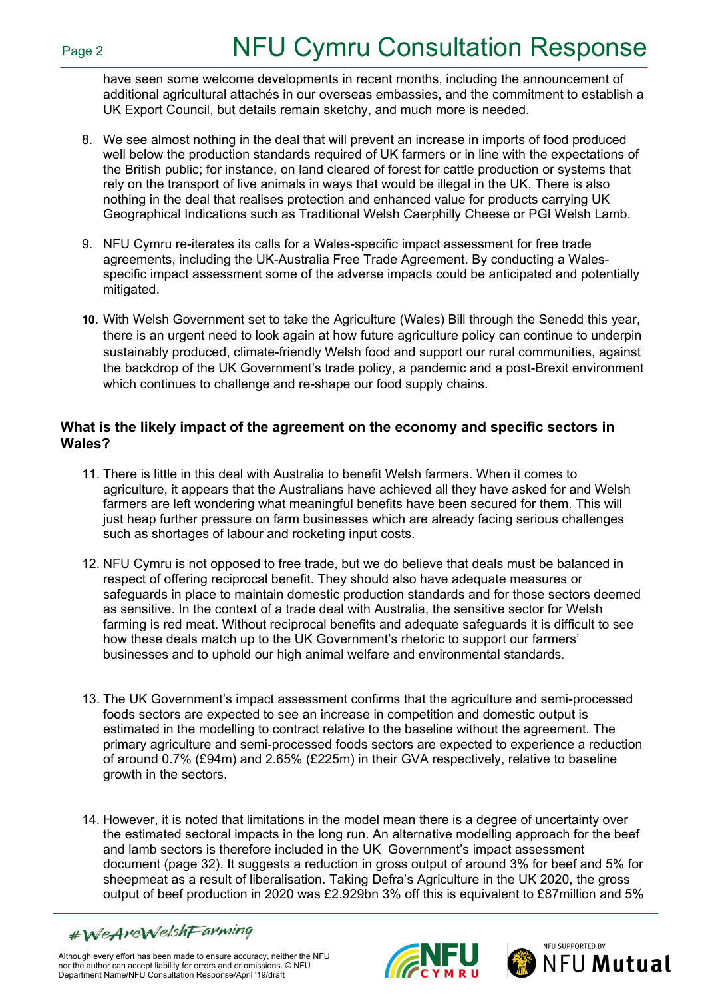have seen some welcome developments in recent months, including the announcement of additional agricultural attachés in our overseas embassies, and the commitment to establish a UK Export Council, but details remain sketchy, and much more is needed.

- 8. We see almost nothing in the deal that will prevent an increase in imports of food produced well below the production standards required of UK farmers or in line with the expectations of the British public; for instance, on land cleared of forest for cattle production or systems that rely on the transport of live animals in ways that would be illegal in the UK. There is also nothing in the deal that realises protection and enhanced value for products carrying UK Geographical Indications such as Traditional Welsh Caerphilly Cheese or PGI Welsh Lamb.
- 9. NFU Cymru re-iterates its calls for a Wales-specific impact assessment for free trade agreements, including the UK-Australia Free Trade Agreement. By conducting a Walesspecific impact assessment some of the adverse impacts could be anticipated and potentially mitigated.
- **10.** With Welsh Government set to take the Agriculture (Wales) Bill through the Senedd this year, there is an urgent need to look again at how future agriculture policy can continue to underpin sustainably produced, climate-friendly Welsh food and support our rural communities, against the backdrop of the UK Government's trade policy, a pandemic and a post-Brexit environment which continues to challenge and re-shape our food supply chains.

### **What is the likely impact of the agreement on the economy and specific sectors in Wales?**

- 11. There is little in this deal with Australia to benefit Welsh farmers. When it comes to agriculture, it appears that the Australians have achieved all they have asked for and Welsh farmers are left wondering what meaningful benefits have been secured for them. This will just heap further pressure on farm businesses which are already facing serious challenges such as shortages of labour and rocketing input costs.
- 12. NFU Cymru is not opposed to free trade, but we do believe that deals must be balanced in respect of offering reciprocal benefit. They should also have adequate measures or safeguards in place to maintain domestic production standards and for those sectors deemed as sensitive. In the context of a trade deal with Australia, the sensitive sector for Welsh farming is red meat. Without reciprocal benefits and adequate safeguards it is difficult to see how these deals match up to the UK Government's rhetoric to support our farmers' businesses and to uphold our high animal welfare and environmental standards.
- 13. The UK Government's impact assessment confirms that the agriculture and semi-processed foods sectors are expected to see an increase in competition and domestic output is estimated in the modelling to contract relative to the baseline without the agreement. The primary agriculture and semi-processed foods sectors are expected to experience a reduction of around 0.7% (£94m) and 2.65% (£225m) in their GVA respectively, relative to baseline growth in the sectors.
- 14. However, it is noted that limitations in the model mean there is a degree of uncertainty over the estimated sectoral impacts in the long run. An alternative modelling approach for the beef and lamb sectors is therefore included in the UK Government's impact assessment document (page 32). It suggests a reduction in gross output of around 3% for beef and 5% for sheepmeat as a result of liberalisation. Taking Defra's Agriculture in the UK 2020, the gross output of beef production in 2020 was £2.929bn 3% off this is equivalent to £87million and 5%





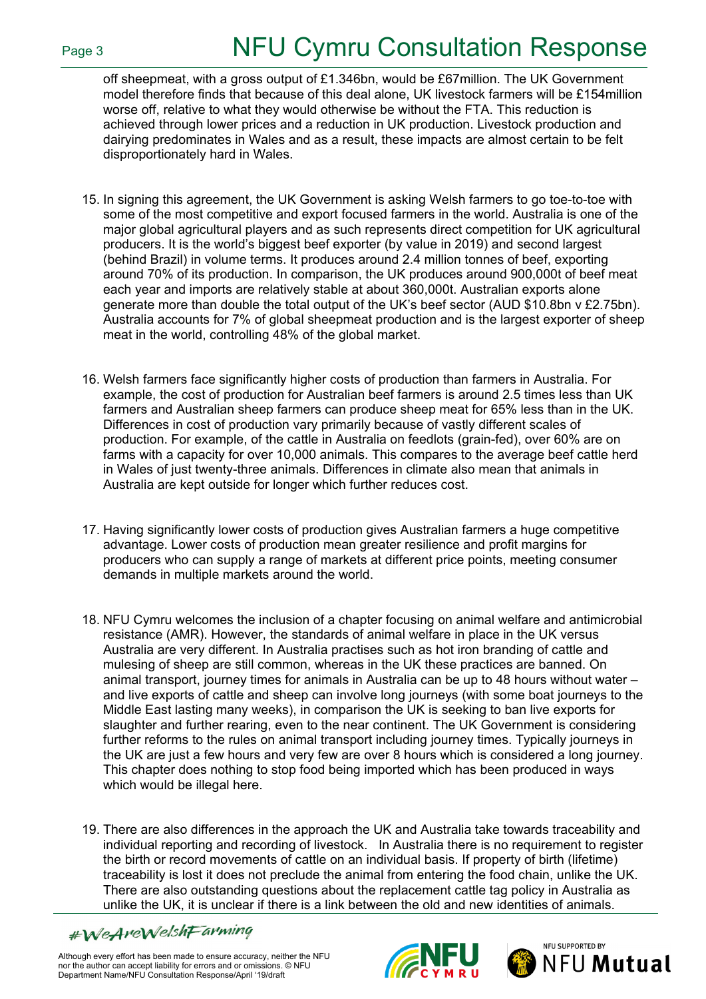off sheepmeat, with a gross output of £1.346bn, would be £67million. The UK Government model therefore finds that because of this deal alone, UK livestock farmers will be £154million worse off, relative to what they would otherwise be without the FTA. This reduction is achieved through lower prices and a reduction in UK production. Livestock production and dairying predominates in Wales and as a result, these impacts are almost certain to be felt disproportionately hard in Wales.

- 15. In signing this agreement, the UK Government is asking Welsh farmers to go toe-to-toe with some of the most competitive and export focused farmers in the world. Australia is one of the major global agricultural players and as such represents direct competition for UK agricultural producers. It is the world's biggest beef exporter (by value in 2019) and second largest (behind Brazil) in volume terms. It produces around 2.4 million tonnes of beef, exporting around 70% of its production. In comparison, the UK produces around 900,000t of beef meat each year and imports are relatively stable at about 360,000t. Australian exports alone generate more than double the total output of the UK's beef sector (AUD \$10.8bn v £2.75bn). Australia accounts for 7% of global sheepmeat production and is the largest exporter of sheep meat in the world, controlling 48% of the global market.
- 16. Welsh farmers face significantly higher costs of production than farmers in Australia. For example, the cost of production for Australian beef farmers is around 2.5 times less than UK farmers and Australian sheep farmers can produce sheep meat for 65% less than in the UK. Differences in cost of production vary primarily because of vastly different scales of production. For example, of the cattle in Australia on feedlots (grain-fed), over 60% are on farms with a capacity for over 10,000 animals. This compares to the average beef cattle herd in Wales of just twenty-three animals. Differences in climate also mean that animals in Australia are kept outside for longer which further reduces cost.
- 17. Having significantly lower costs of production gives Australian farmers a huge competitive advantage. Lower costs of production mean greater resilience and profit margins for producers who can supply a range of markets at different price points, meeting consumer demands in multiple markets around the world.
- 18. NFU Cymru welcomes the inclusion of a chapter focusing on animal welfare and antimicrobial resistance (AMR). However, the standards of animal welfare in place in the UK versus Australia are very different. In Australia practises such as hot iron branding of cattle and mulesing of sheep are still common, whereas in the UK these practices are banned. On animal transport, journey times for animals in Australia can be up to 48 hours without water – and live exports of cattle and sheep can involve long journeys (with some boat journeys to the Middle East lasting many weeks), in comparison the UK is seeking to ban live exports for slaughter and further rearing, even to the near continent. The UK Government is considering further reforms to the rules on animal transport including journey times. Typically journeys in the UK are just a few hours and very few are over 8 hours which is considered a long journey. This chapter does nothing to stop food being imported which has been produced in ways which would be illegal here.
- 19. There are also differences in the approach the UK and Australia take towards traceability and individual reporting and recording of livestock. In Australia there is no requirement to register the birth or record movements of cattle on an individual basis. If property of birth (lifetime) traceability is lost it does not preclude the animal from entering the food chain, unlike the UK. There are also outstanding questions about the replacement cattle tag policy in Australia as unlike the UK, it is unclear if there is a link between the old and new identities of animals.

#WeAreWelshFarming



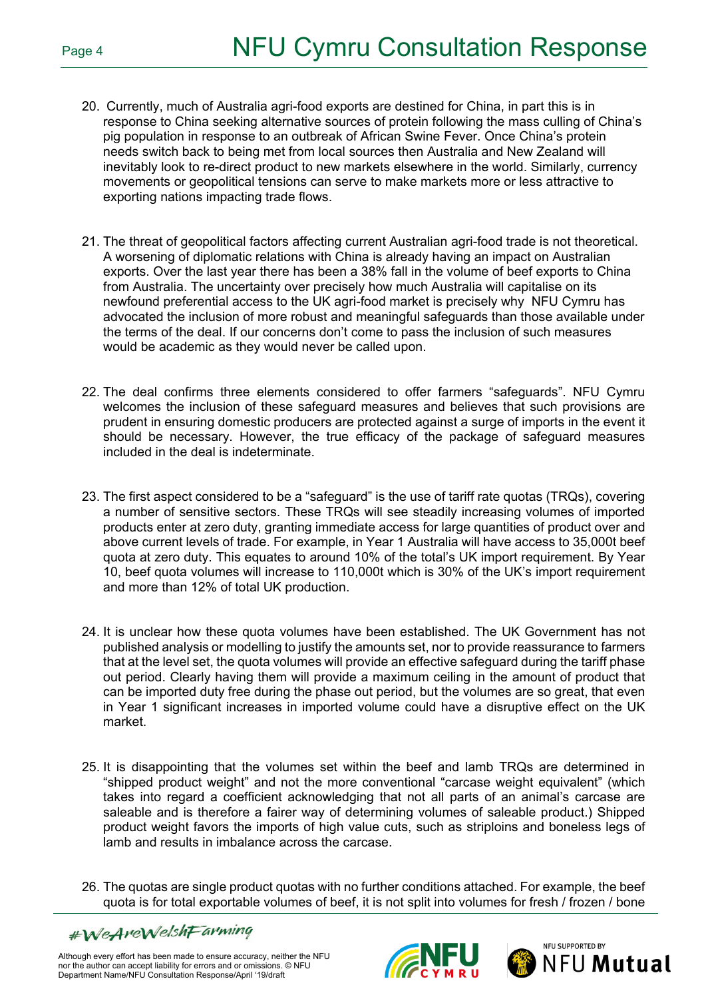- 20. Currently, much of Australia agri-food exports are destined for China, in part this is in response to China seeking alternative sources of protein following the mass culling of China's pig population in response to an outbreak of African Swine Fever. Once China's protein needs switch back to being met from local sources then Australia and New Zealand will inevitably look to re-direct product to new markets elsewhere in the world. Similarly, currency movements or geopolitical tensions can serve to make markets more or less attractive to exporting nations impacting trade flows.
- 21. The threat of geopolitical factors affecting current Australian agri-food trade is not theoretical. A worsening of diplomatic relations with China is already having an impact on Australian exports. Over the last year there has been a 38% fall in the volume of beef exports to China from Australia. The uncertainty over precisely how much Australia will capitalise on its newfound preferential access to the UK agri-food market is precisely why NFU Cymru has advocated the inclusion of more robust and meaningful safeguards than those available under the terms of the deal. If our concerns don't come to pass the inclusion of such measures would be academic as they would never be called upon.
- 22. The deal confirms three elements considered to offer farmers "safeguards". NFU Cymru welcomes the inclusion of these safeguard measures and believes that such provisions are prudent in ensuring domestic producers are protected against a surge of imports in the event it should be necessary. However, the true efficacy of the package of safeguard measures included in the deal is indeterminate.
- 23. The first aspect considered to be a "safeguard" is the use of tariff rate quotas (TRQs), covering a number of sensitive sectors. These TRQs will see steadily increasing volumes of imported products enter at zero duty, granting immediate access for large quantities of product over and above current levels of trade. For example, in Year 1 Australia will have access to 35,000t beef quota at zero duty. This equates to around 10% of the total's UK import requirement. By Year 10, beef quota volumes will increase to 110,000t which is 30% of the UK's import requirement and more than 12% of total UK production.
- 24. It is unclear how these quota volumes have been established. The UK Government has not published analysis or modelling to justify the amounts set, nor to provide reassurance to farmers that at the level set, the quota volumes will provide an effective safeguard during the tariff phase out period. Clearly having them will provide a maximum ceiling in the amount of product that can be imported duty free during the phase out period, but the volumes are so great, that even in Year 1 significant increases in imported volume could have a disruptive effect on the UK market.
- 25. It is disappointing that the volumes set within the beef and lamb TRQs are determined in "shipped product weight" and not the more conventional "carcase weight equivalent" (which takes into regard a coefficient acknowledging that not all parts of an animal's carcase are saleable and is therefore a fairer way of determining volumes of saleable product.) Shipped product weight favors the imports of high value cuts, such as striploins and boneless legs of lamb and results in imbalance across the carcase.
- 26. The quotas are single product quotas with no further conditions attached. For example, the beef quota is for total exportable volumes of beef, it is not split into volumes for fresh / frozen / bone





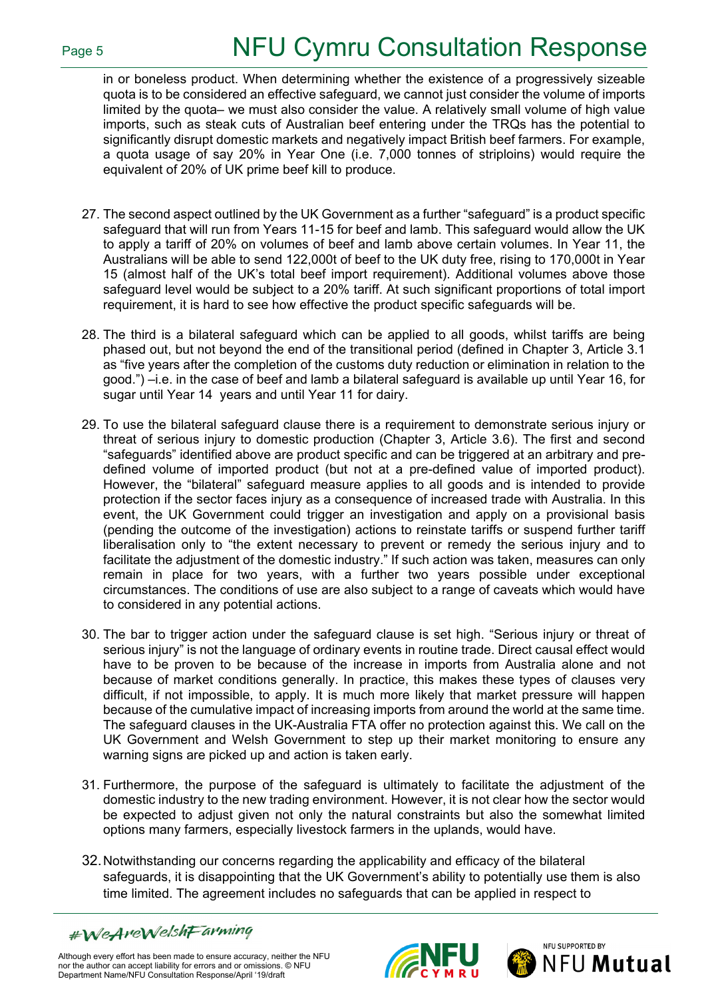in or boneless product. When determining whether the existence of a progressively sizeable quota is to be considered an effective safeguard, we cannot just consider the volume of imports limited by the quota– we must also consider the value. A relatively small volume of high value imports, such as steak cuts of Australian beef entering under the TRQs has the potential to significantly disrupt domestic markets and negatively impact British beef farmers. For example, a quota usage of say 20% in Year One (i.e. 7,000 tonnes of striploins) would require the equivalent of 20% of UK prime beef kill to produce.

- 27. The second aspect outlined by the UK Government as a further "safeguard" is a product specific safeguard that will run from Years 11-15 for beef and lamb. This safeguard would allow the UK to apply a tariff of 20% on volumes of beef and lamb above certain volumes. In Year 11, the Australians will be able to send 122,000t of beef to the UK duty free, rising to 170,000t in Year 15 (almost half of the UK's total beef import requirement). Additional volumes above those safeguard level would be subject to a 20% tariff. At such significant proportions of total import requirement, it is hard to see how effective the product specific safeguards will be.
- 28. The third is a bilateral safeguard which can be applied to all goods, whilst tariffs are being phased out, but not beyond the end of the transitional period (defined in Chapter 3, Article 3.1 as "five years after the completion of the customs duty reduction or elimination in relation to the good.") –i.e. in the case of beef and lamb a bilateral safeguard is available up until Year 16, for sugar until Year 14 years and until Year 11 for dairy.
- 29. To use the bilateral safeguard clause there is a requirement to demonstrate serious injury or threat of serious injury to domestic production (Chapter 3, Article 3.6). The first and second "safeguards" identified above are product specific and can be triggered at an arbitrary and predefined volume of imported product (but not at a pre-defined value of imported product). However, the "bilateral" safeguard measure applies to all goods and is intended to provide protection if the sector faces injury as a consequence of increased trade with Australia. In this event, the UK Government could trigger an investigation and apply on a provisional basis (pending the outcome of the investigation) actions to reinstate tariffs or suspend further tariff liberalisation only to "the extent necessary to prevent or remedy the serious injury and to facilitate the adjustment of the domestic industry." If such action was taken, measures can only remain in place for two years, with a further two years possible under exceptional circumstances. The conditions of use are also subject to a range of caveats which would have to considered in any potential actions.
- 30. The bar to trigger action under the safeguard clause is set high. "Serious injury or threat of serious injury" is not the language of ordinary events in routine trade. Direct causal effect would have to be proven to be because of the increase in imports from Australia alone and not because of market conditions generally. In practice, this makes these types of clauses very difficult, if not impossible, to apply. It is much more likely that market pressure will happen because of the cumulative impact of increasing imports from around the world at the same time. The safeguard clauses in the UK-Australia FTA offer no protection against this. We call on the UK Government and Welsh Government to step up their market monitoring to ensure any warning signs are picked up and action is taken early.
- 31. Furthermore, the purpose of the safeguard is ultimately to facilitate the adjustment of the domestic industry to the new trading environment. However, it is not clear how the sector would be expected to adjust given not only the natural constraints but also the somewhat limited options many farmers, especially livestock farmers in the uplands, would have.
- 32.Notwithstanding our concerns regarding the applicability and efficacy of the bilateral safeguards, it is disappointing that the UK Government's ability to potentially use them is also time limited. The agreement includes no safeguards that can be applied in respect to

#WeAreWelshFarming



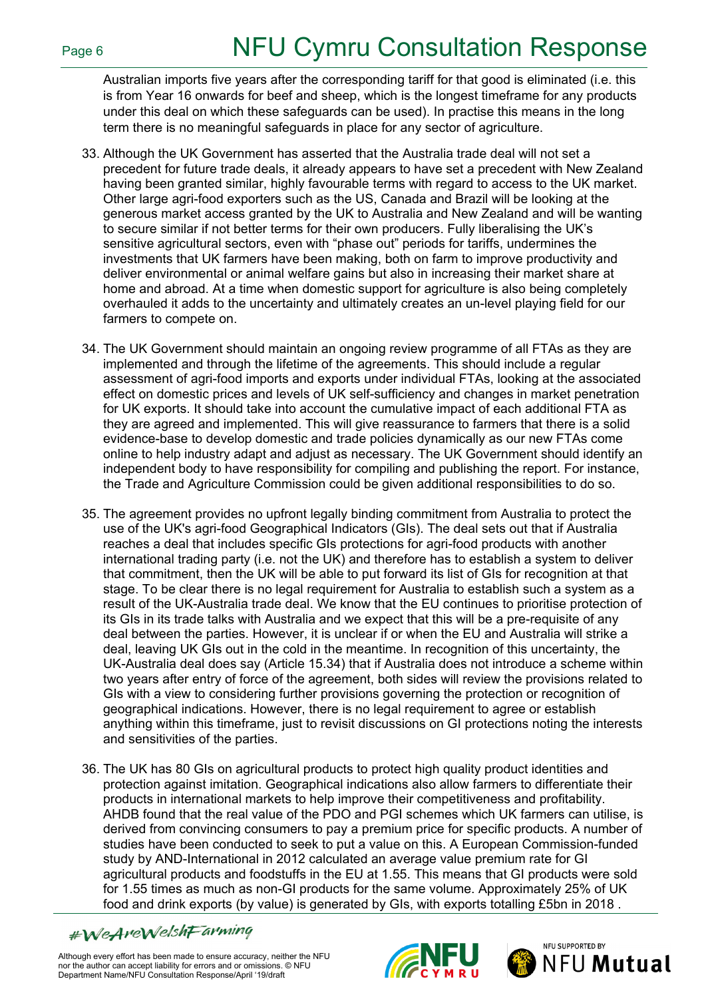Australian imports five years after the corresponding tariff for that good is eliminated (i.e. this is from Year 16 onwards for beef and sheep, which is the longest timeframe for any products under this deal on which these safeguards can be used). In practise this means in the long term there is no meaningful safeguards in place for any sector of agriculture.

- 33. Although the UK Government has asserted that the Australia trade deal will not set a precedent for future trade deals, it already appears to have set a precedent with New Zealand having been granted similar, highly favourable terms with regard to access to the UK market. Other large agri-food exporters such as the US, Canada and Brazil will be looking at the generous market access granted by the UK to Australia and New Zealand and will be wanting to secure similar if not better terms for their own producers. Fully liberalising the UK's sensitive agricultural sectors, even with "phase out" periods for tariffs, undermines the investments that UK farmers have been making, both on farm to improve productivity and deliver environmental or animal welfare gains but also in increasing their market share at home and abroad. At a time when domestic support for agriculture is also being completely overhauled it adds to the uncertainty and ultimately creates an un-level playing field for our farmers to compete on.
- 34. The UK Government should maintain an ongoing review programme of all FTAs as they are implemented and through the lifetime of the agreements. This should include a regular assessment of agri-food imports and exports under individual FTAs, looking at the associated effect on domestic prices and levels of UK self-sufficiency and changes in market penetration for UK exports. It should take into account the cumulative impact of each additional FTA as they are agreed and implemented. This will give reassurance to farmers that there is a solid evidence-base to develop domestic and trade policies dynamically as our new FTAs come online to help industry adapt and adjust as necessary. The UK Government should identify an independent body to have responsibility for compiling and publishing the report. For instance, the Trade and Agriculture Commission could be given additional responsibilities to do so.
- 35. The agreement provides no upfront legally binding commitment from Australia to protect the use of the UK's agri-food Geographical Indicators (GIs). The deal sets out that if Australia reaches a deal that includes specific GIs protections for agri-food products with another international trading party (i.e. not the UK) and therefore has to establish a system to deliver that commitment, then the UK will be able to put forward its list of GIs for recognition at that stage. To be clear there is no legal requirement for Australia to establish such a system as a result of the UK-Australia trade deal. We know that the EU continues to prioritise protection of its GIs in its trade talks with Australia and we expect that this will be a pre-requisite of any deal between the parties. However, it is unclear if or when the EU and Australia will strike a deal, leaving UK GIs out in the cold in the meantime. In recognition of this uncertainty, the UK-Australia deal does say (Article 15.34) that if Australia does not introduce a scheme within two years after entry of force of the agreement, both sides will review the provisions related to GIs with a view to considering further provisions governing the protection or recognition of geographical indications. However, there is no legal requirement to agree or establish anything within this timeframe, just to revisit discussions on GI protections noting the interests and sensitivities of the parties.
- 36. The UK has 80 GIs on agricultural products to protect high quality product identities and protection against imitation. Geographical indications also allow farmers to differentiate their products in international markets to help improve their competitiveness and profitability. AHDB found that the real value of the PDO and PGI schemes which UK farmers can utilise, is derived from convincing consumers to pay a premium price for specific products. A number of studies have been conducted to seek to put a value on this. A European Commission-funded study by AND-International in 2012 calculated an average value premium rate for GI agricultural products and foodstuffs in the EU at 1.55. This means that GI products were sold for 1.55 times as much as non-GI products for the same volume. Approximately 25% of UK food and drink exports (by value) is generated by GIs, with exports totalling £5bn in 2018 .

#WeAreWelshFarming



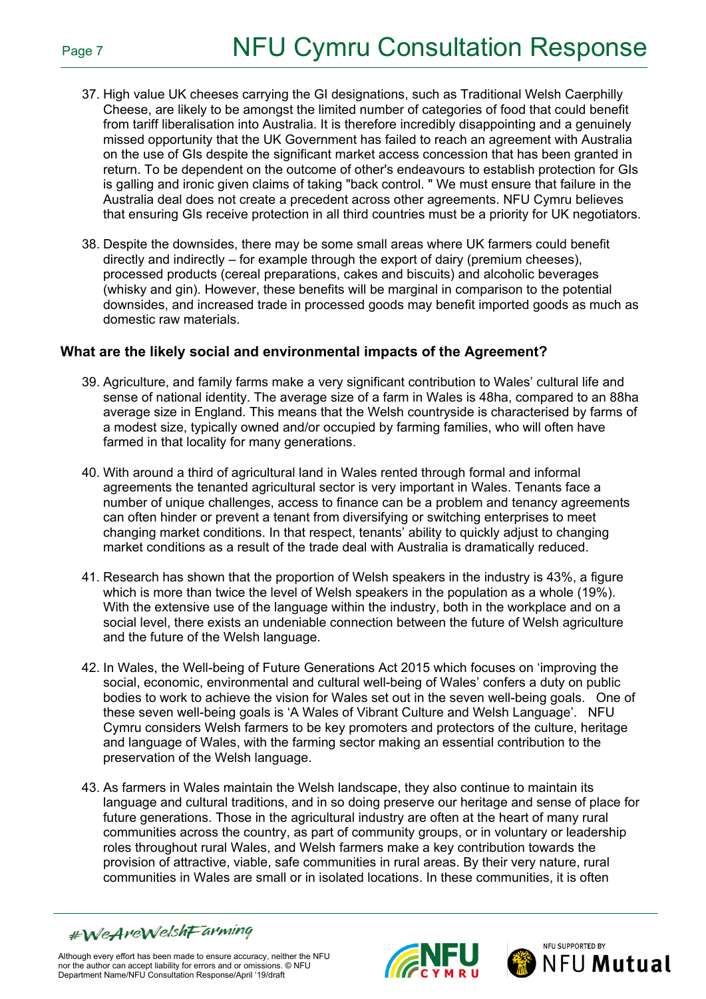- 37. High value UK cheeses carrying the GI designations, such as Traditional Welsh Caerphilly Cheese, are likely to be amongst the limited number of categories of food that could benefit from tariff liberalisation into Australia. It is therefore incredibly disappointing and a genuinely missed opportunity that the UK Government has failed to reach an agreement with Australia on the use of GIs despite the significant market access concession that has been granted in return. To be dependent on the outcome of other's endeavours to establish protection for GIs is galling and ironic given claims of taking "back control. " We must ensure that failure in the Australia deal does not create a precedent across other agreements. NFU Cymru believes that ensuring GIs receive protection in all third countries must be a priority for UK negotiators.
- 38. Despite the downsides, there may be some small areas where UK farmers could benefit directly and indirectly – for example through the export of dairy (premium cheeses), processed products (cereal preparations, cakes and biscuits) and alcoholic beverages (whisky and gin). However, these benefits will be marginal in comparison to the potential downsides, and increased trade in processed goods may benefit imported goods as much as domestic raw materials.

### **What are the likely social and environmental impacts of the Agreement?**

- 39. Agriculture, and family farms make a very significant contribution to Wales' cultural life and sense of national identity. The average size of a farm in Wales is 48ha, compared to an 88ha average size in England. This means that the Welsh countryside is characterised by farms of a modest size, typically owned and/or occupied by farming families, who will often have farmed in that locality for many generations.
- 40. With around a third of agricultural land in Wales rented through formal and informal agreements the tenanted agricultural sector is very important in Wales. Tenants face a number of unique challenges, access to finance can be a problem and tenancy agreements can often hinder or prevent a tenant from diversifying or switching enterprises to meet changing market conditions. In that respect, tenants' ability to quickly adjust to changing market conditions as a result of the trade deal with Australia is dramatically reduced.
- 41. Research has shown that the proportion of Welsh speakers in the industry is 43%, a figure which is more than twice the level of Welsh speakers in the population as a whole (19%). With the extensive use of the language within the industry, both in the workplace and on a social level, there exists an undeniable connection between the future of Welsh agriculture and the future of the Welsh language.
- 42. In Wales, the Well-being of Future Generations Act 2015 which focuses on 'improving the social, economic, environmental and cultural well-being of Wales' confers a duty on public bodies to work to achieve the vision for Wales set out in the seven well-being goals. One of these seven well-being goals is 'A Wales of Vibrant Culture and Welsh Language'. NFU Cymru considers Welsh farmers to be key promoters and protectors of the culture, heritage and language of Wales, with the farming sector making an essential contribution to the preservation of the Welsh language.
- 43. As farmers in Wales maintain the Welsh landscape, they also continue to maintain its language and cultural traditions, and in so doing preserve our heritage and sense of place for future generations. Those in the agricultural industry are often at the heart of many rural communities across the country, as part of community groups, or in voluntary or leadership roles throughout rural Wales, and Welsh farmers make a key contribution towards the provision of attractive, viable, safe communities in rural areas. By their very nature, rural communities in Wales are small or in isolated locations. In these communities, it is often





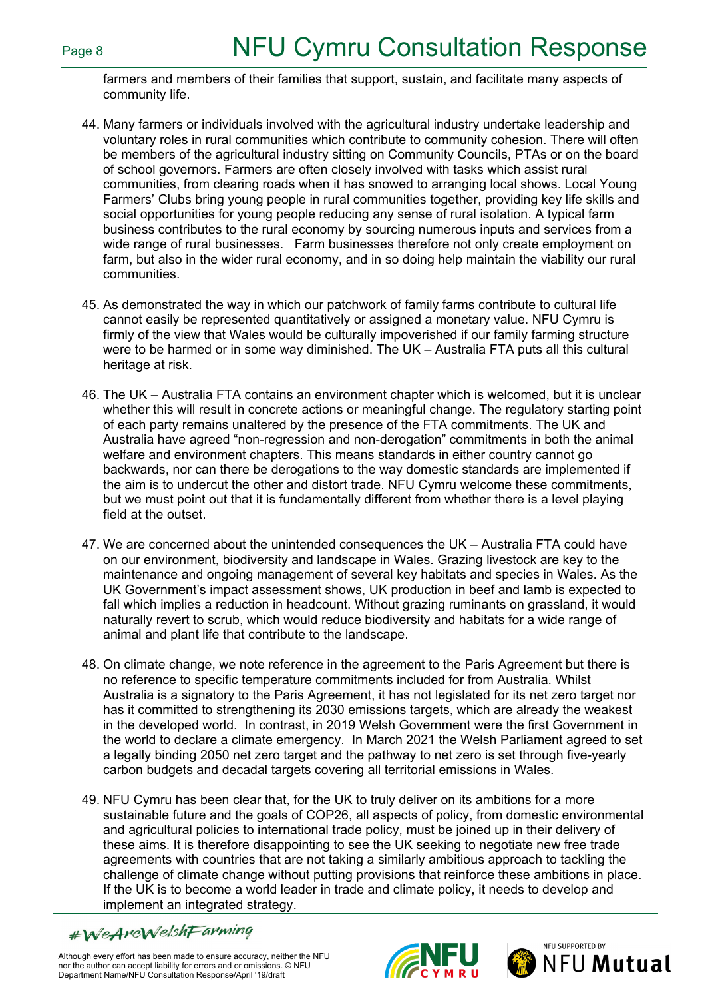farmers and members of their families that support, sustain, and facilitate many aspects of community life.

- 44. Many farmers or individuals involved with the agricultural industry undertake leadership and voluntary roles in rural communities which contribute to community cohesion. There will often be members of the agricultural industry sitting on Community Councils, PTAs or on the board of school governors. Farmers are often closely involved with tasks which assist rural communities, from clearing roads when it has snowed to arranging local shows. Local Young Farmers' Clubs bring young people in rural communities together, providing key life skills and social opportunities for young people reducing any sense of rural isolation. A typical farm business contributes to the rural economy by sourcing numerous inputs and services from a wide range of rural businesses. Farm businesses therefore not only create employment on farm, but also in the wider rural economy, and in so doing help maintain the viability our rural communities.
- 45. As demonstrated the way in which our patchwork of family farms contribute to cultural life cannot easily be represented quantitatively or assigned a monetary value. NFU Cymru is firmly of the view that Wales would be culturally impoverished if our family farming structure were to be harmed or in some way diminished. The UK – Australia FTA puts all this cultural heritage at risk.
- 46. The UK Australia FTA contains an environment chapter which is welcomed, but it is unclear whether this will result in concrete actions or meaningful change. The regulatory starting point of each party remains unaltered by the presence of the FTA commitments. The UK and Australia have agreed "non-regression and non-derogation" commitments in both the animal welfare and environment chapters. This means standards in either country cannot go backwards, nor can there be derogations to the way domestic standards are implemented if the aim is to undercut the other and distort trade. NFU Cymru welcome these commitments, but we must point out that it is fundamentally different from whether there is a level playing field at the outset.
- 47. We are concerned about the unintended consequences the UK Australia FTA could have on our environment, biodiversity and landscape in Wales. Grazing livestock are key to the maintenance and ongoing management of several key habitats and species in Wales. As the UK Government's impact assessment shows, UK production in beef and lamb is expected to fall which implies a reduction in headcount. Without grazing ruminants on grassland, it would naturally revert to scrub, which would reduce biodiversity and habitats for a wide range of animal and plant life that contribute to the landscape.
- 48. On climate change, we note reference in the agreement to the Paris Agreement but there is no reference to specific temperature commitments included for from Australia. Whilst Australia is a signatory to the Paris Agreement, it has not legislated for its net zero target nor has it committed to strengthening its 2030 emissions targets, which are already the weakest in the developed world. In contrast, in 2019 Welsh Government were the first Government in the world to declare a climate emergency. In March 2021 the Welsh Parliament agreed to set a legally binding 2050 net zero target and the pathway to net zero is set through five-yearly carbon budgets and decadal targets covering all territorial emissions in Wales.
- 49. NFU Cymru has been clear that, for the UK to truly deliver on its ambitions for a more sustainable future and the goals of COP26, all aspects of policy, from domestic environmental and agricultural policies to international trade policy, must be joined up in their delivery of these aims. It is therefore disappointing to see the UK seeking to negotiate new free trade agreements with countries that are not taking a similarly ambitious approach to tackling the challenge of climate change without putting provisions that reinforce these ambitions in place. If the UK is to become a world leader in trade and climate policy, it needs to develop and implement an integrated strategy.

#WeAreWelshFarming



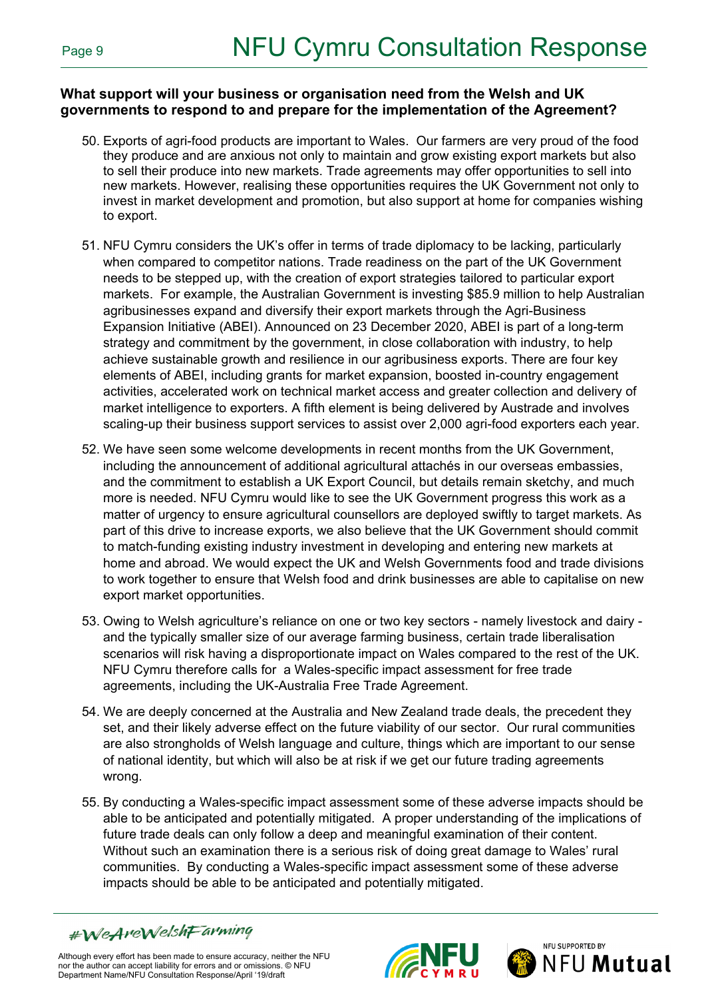### **What support will your business or organisation need from the Welsh and UK governments to respond to and prepare for the implementation of the Agreement?**

- 50. Exports of agri-food products are important to Wales. Our farmers are very proud of the food they produce and are anxious not only to maintain and grow existing export markets but also to sell their produce into new markets. Trade agreements may offer opportunities to sell into new markets. However, realising these opportunities requires the UK Government not only to invest in market development and promotion, but also support at home for companies wishing to export.
- 51. NFU Cymru considers the UK's offer in terms of trade diplomacy to be lacking, particularly when compared to competitor nations. Trade readiness on the part of the UK Government needs to be stepped up, with the creation of export strategies tailored to particular export markets. For example, the Australian Government is investing \$85.9 million to help Australian agribusinesses expand and diversify their export markets through the Agri-Business Expansion Initiative (ABEI). Announced on 23 December 2020, ABEI is part of a long-term strategy and commitment by the government, in close collaboration with industry, to help achieve sustainable growth and resilience in our agribusiness exports. There are four key elements of ABEI, including grants for market expansion, boosted in-country engagement activities, accelerated work on technical market access and greater collection and delivery of market intelligence to exporters. A fifth element is being delivered by Austrade and involves scaling-up their business support services to assist over 2,000 agri-food exporters each year.
- 52. We have seen some welcome developments in recent months from the UK Government, including the announcement of additional agricultural attachés in our overseas embassies, and the commitment to establish a UK Export Council, but details remain sketchy, and much more is needed. NFU Cymru would like to see the UK Government progress this work as a matter of urgency to ensure agricultural counsellors are deployed swiftly to target markets. As part of this drive to increase exports, we also believe that the UK Government should commit to match-funding existing industry investment in developing and entering new markets at home and abroad. We would expect the UK and Welsh Governments food and trade divisions to work together to ensure that Welsh food and drink businesses are able to capitalise on new export market opportunities.
- 53. Owing to Welsh agriculture's reliance on one or two key sectors namely livestock and dairy and the typically smaller size of our average farming business, certain trade liberalisation scenarios will risk having a disproportionate impact on Wales compared to the rest of the UK. NFU Cymru therefore calls for a Wales-specific impact assessment for free trade agreements, including the UK-Australia Free Trade Agreement.
- 54. We are deeply concerned at the Australia and New Zealand trade deals, the precedent they set, and their likely adverse effect on the future viability of our sector. Our rural communities are also strongholds of Welsh language and culture, things which are important to our sense of national identity, but which will also be at risk if we get our future trading agreements wrong.
- 55. By conducting a Wales-specific impact assessment some of these adverse impacts should be able to be anticipated and potentially mitigated. A proper understanding of the implications of future trade deals can only follow a deep and meaningful examination of their content. Without such an examination there is a serious risk of doing great damage to Wales' rural communities. By conducting a Wales-specific impact assessment some of these adverse impacts should be able to be anticipated and potentially mitigated.